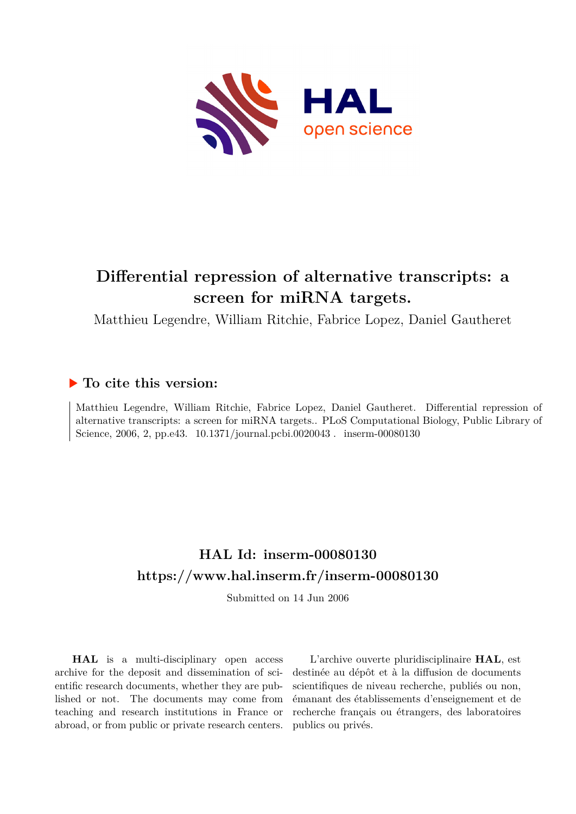

# **Differential repression of alternative transcripts: a screen for miRNA targets.**

Matthieu Legendre, William Ritchie, Fabrice Lopez, Daniel Gautheret

# **To cite this version:**

Matthieu Legendre, William Ritchie, Fabrice Lopez, Daniel Gautheret. Differential repression of alternative transcripts: a screen for miRNA targets.. PLoS Computational Biology, Public Library of Science, 2006, 2, pp.e43.  $10.1371/journal.pcbi.0020043$ . inserm-00080130

# **HAL Id: inserm-00080130 <https://www.hal.inserm.fr/inserm-00080130>**

Submitted on 14 Jun 2006

**HAL** is a multi-disciplinary open access archive for the deposit and dissemination of scientific research documents, whether they are published or not. The documents may come from teaching and research institutions in France or abroad, or from public or private research centers.

L'archive ouverte pluridisciplinaire **HAL**, est destinée au dépôt et à la diffusion de documents scientifiques de niveau recherche, publiés ou non, émanant des établissements d'enseignement et de recherche français ou étrangers, des laboratoires publics ou privés.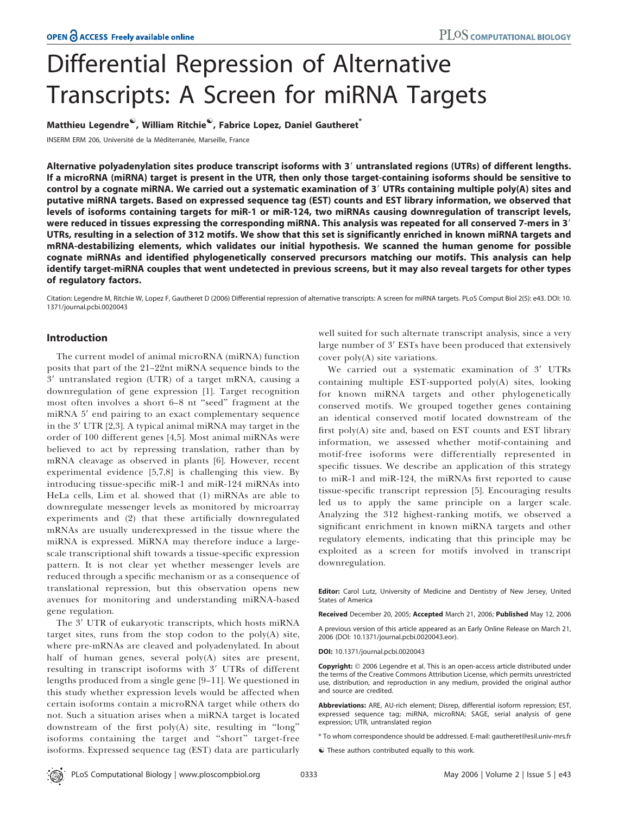# Differential Repression of Alternative Transcripts: A Screen for miRNA Targets

Matthieu Legendre $^{\mathfrak{S}}$ , William Ritchie $^{\mathfrak{S}}$ , Fabrice Lopez, Daniel Gautheret<sup>\*</sup>

INSERM ERM 206, Université de la Méditerranée, Marseille, France

Alternative polyadenylation sites produce transcript isoforms with 3' untranslated regions (UTRs) of different lengths. If a microRNA (miRNA) target is present in the UTR, then only those target-containing isoforms should be sensitive to control by a cognate miRNA. We carried out a systematic examination of 3' UTRs containing multiple poly(A) sites and putative miRNA targets. Based on expressed sequence tag (EST) counts and EST library information, we observed that levels of isoforms containing targets for miR-1 or miR-124, two miRNAs causing downregulation of transcript levels, were reduced in tissues expressing the corresponding miRNA. This analysis was repeated for all conserved 7-mers in 3' UTRs, resulting in a selection of 312 motifs. We show that this set is significantly enriched in known miRNA targets and mRNA-destabilizing elements, which validates our initial hypothesis. We scanned the human genome for possible cognate miRNAs and identified phylogenetically conserved precursors matching our motifs. This analysis can help identify target-miRNA couples that went undetected in previous screens, but it may also reveal targets for other types of regulatory factors.

Citation: Legendre M, Ritchie W, Lopez F, Gautheret D (2006) Differential repression of alternative transcripts: A screen for miRNA targets. PLoS Comput Biol 2(5): e43. DOI: 10. 1371/journal.pcbi.0020043

## Introduction

The current model of animal microRNA (miRNA) function posits that part of the 21–22nt miRNA sequence binds to the 3' untranslated region (UTR) of a target mRNA, causing a downregulation of gene expression [1]. Target recognition most often involves a short 6–8 nt ''seed'' fragment at the miRNA 5' end pairing to an exact complementary sequence in the  $3'$  UTR [2,3]. A typical animal miRNA may target in the order of 100 different genes [4,5]. Most animal miRNAs were believed to act by repressing translation, rather than by mRNA cleavage as observed in plants [6]. However, recent experimental evidence [5,7,8] is challenging this view. By introducing tissue-specific miR-1 and miR-124 miRNAs into HeLa cells, Lim et al. showed that (1) miRNAs are able to downregulate messenger levels as monitored by microarray experiments and (2) that these artificially downregulated mRNAs are usually underexpressed in the tissue where the miRNA is expressed. MiRNA may therefore induce a largescale transcriptional shift towards a tissue-specific expression pattern. It is not clear yet whether messenger levels are reduced through a specific mechanism or as a consequence of translational repression, but this observation opens new avenues for monitoring and understanding miRNA-based gene regulation.

The 3' UTR of eukaryotic transcripts, which hosts miRNA target sites, runs from the stop codon to the poly(A) site, where pre-mRNAs are cleaved and polyadenylated. In about half of human genes, several poly(A) sites are present, resulting in transcript isoforms with 3' UTRs of different lengths produced from a single gene [9–11]. We questioned in this study whether expression levels would be affected when certain isoforms contain a microRNA target while others do not. Such a situation arises when a miRNA target is located downstream of the first poly(A) site, resulting in ''long'' isoforms containing the target and ''short'' target-free isoforms. Expressed sequence tag (EST) data are particularly

well suited for such alternate transcript analysis, since a very large number of 3' ESTs have been produced that extensively cover poly(A) site variations.

We carried out a systematic examination of  $3'$  UTRs containing multiple EST-supported poly(A) sites, looking for known miRNA targets and other phylogenetically conserved motifs. We grouped together genes containing an identical conserved motif located downstream of the first poly(A) site and, based on EST counts and EST library information, we assessed whether motif-containing and motif-free isoforms were differentially represented in specific tissues. We describe an application of this strategy to miR-1 and miR-124, the miRNAs first reported to cause tissue-specific transcript repression [5]. Encouraging results led us to apply the same principle on a larger scale. Analyzing the 312 highest-ranking motifs, we observed a significant enrichment in known miRNA targets and other regulatory elements, indicating that this principle may be exploited as a screen for motifs involved in transcript downregulation.

Editor: Carol Lutz, University of Medicine and Dentistry of New Jersey, United States of America

Received December 20, 2005; Accepted March 21, 2006; Published May 12, 2006

A previous version of this article appeared as an Early Online Release on March 21, 2006 (DOI: 10.1371/journal.pcbi.0020043.eor).

DOI: 10.1371/journal.pcbi.0020043

Copyright: © 2006 Legendre et al. This is an open-access article distributed under the terms of the Creative Commons Attribution License, which permits unrestricted use, distribution, and reproduction in any medium, provided the original author and source are credited.

Abbreviations: ARE, AU-rich element; Disrep, differential isoform repression; EST, expressed sequence tag; miRNA, microRNA; SAGE, serial analysis of gene expression; UTR, untranslated region

\* To whom correspondence should be addressed. E-mail: gautheret@esil.univ-mrs.fr

 $\bullet$  These authors contributed equally to this work.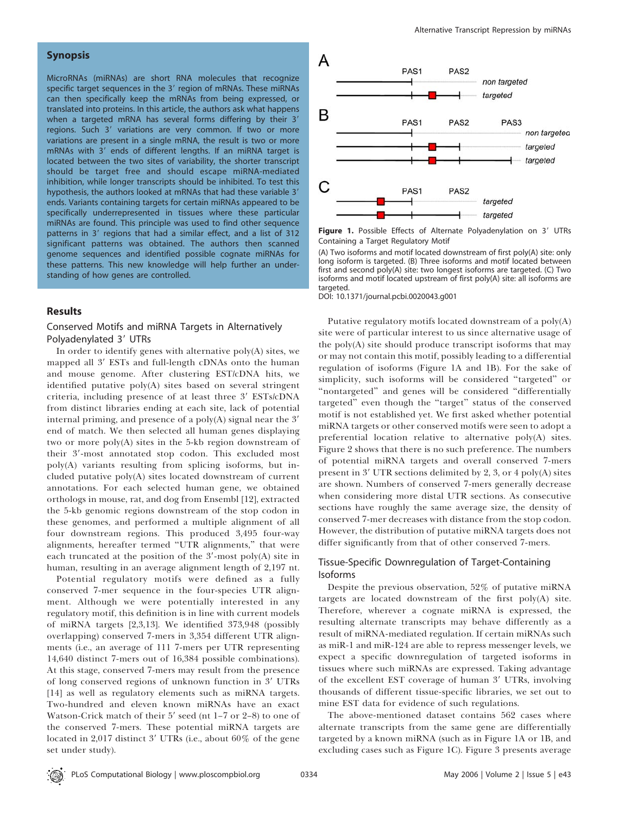### Synopsis

MicroRNAs (miRNAs) are short RNA molecules that recognize specific target sequences in the 3' region of mRNAs. These miRNAs can then specifically keep the mRNAs from being expressed, or translated into proteins. In this article, the authors ask what happens when a targeted mRNA has several forms differing by their  $3'$ regions. Such 3' variations are very common. If two or more variations are present in a single mRNA, the result is two or more mRNAs with 3' ends of different lengths. If an miRNA target is located between the two sites of variability, the shorter transcript should be target free and should escape miRNA-mediated inhibition, while longer transcripts should be inhibited. To test this hypothesis, the authors looked at mRNAs that had these variable 3' ends. Variants containing targets for certain miRNAs appeared to be specifically underrepresented in tissues where these particular miRNAs are found. This principle was used to find other sequence patterns in 3' regions that had a similar effect, and a list of 312 significant patterns was obtained. The authors then scanned genome sequences and identified possible cognate miRNAs for these patterns. This new knowledge will help further an understanding of how genes are controlled.

#### **Results**

## Conserved Motifs and miRNA Targets in Alternatively Polyadenylated 3' UTRs

In order to identify genes with alternative  $poly(A)$  sites, we mapped all 3' ESTs and full-length cDNAs onto the human and mouse genome. After clustering EST/cDNA hits, we identified putative poly(A) sites based on several stringent criteria, including presence of at least three 3' ESTs/cDNA from distinct libraries ending at each site, lack of potential internal priming, and presence of a  $poly(A)$  signal near the  $3'$ end of match. We then selected all human genes displaying two or more poly(A) sites in the 5-kb region downstream of their 3'-most annotated stop codon. This excluded most poly(A) variants resulting from splicing isoforms, but included putative poly(A) sites located downstream of current annotations. For each selected human gene, we obtained orthologs in mouse, rat, and dog from Ensembl [12], extracted the 5-kb genomic regions downstream of the stop codon in these genomes, and performed a multiple alignment of all four downstream regions. This produced 3,495 four-way alignments, hereafter termed ''UTR alignments,'' that were each truncated at the position of the  $3'$ -most poly(A) site in human, resulting in an average alignment length of 2,197 nt.

Potential regulatory motifs were defined as a fully conserved 7-mer sequence in the four-species UTR alignment. Although we were potentially interested in any regulatory motif, this definition is in line with current models of miRNA targets [2,3,13]. We identified 373,948 (possibly overlapping) conserved 7-mers in 3,354 different UTR alignments (i.e., an average of 111 7-mers per UTR representing 14,640 distinct 7-mers out of 16,384 possible combinations). At this stage, conserved 7-mers may result from the presence of long conserved regions of unknown function in 3' UTRs [14] as well as regulatory elements such as miRNA targets. Two-hundred and eleven known miRNAs have an exact Watson-Crick match of their  $5'$  seed (nt  $1-7$  or  $2-8$ ) to one of the conserved 7-mers. These potential miRNA targets are located in 2,017 distinct  $3'$  UTRs (i.e., about  $60\%$  of the gene set under study).



Figure 1. Possible Effects of Alternate Polyadenylation on 3' UTRs Containing a Target Regulatory Motif

(A) Two isoforms and motif located downstream of first poly(A) site: only long isoform is targeted. (B) Three isoforms and motif located between first and second poly(A) site: two longest isoforms are targeted. (C) Two isoforms and motif located upstream of first poly(A) site: all isoforms are targeted.

DOI: 10.1371/journal.pcbi.0020043.g001

Putative regulatory motifs located downstream of a poly(A) site were of particular interest to us since alternative usage of the poly(A) site should produce transcript isoforms that may or may not contain this motif, possibly leading to a differential regulation of isoforms (Figure 1A and 1B). For the sake of simplicity, such isoforms will be considered ''targeted'' or "nontargeted" and genes will be considered "differentially targeted'' even though the ''target'' status of the conserved motif is not established yet. We first asked whether potential miRNA targets or other conserved motifs were seen to adopt a preferential location relative to alternative poly(A) sites. Figure 2 shows that there is no such preference. The numbers of potential miRNA targets and overall conserved 7-mers present in  $3'$  UTR sections delimited by 2, 3, or 4 poly(A) sites are shown. Numbers of conserved 7-mers generally decrease when considering more distal UTR sections. As consecutive sections have roughly the same average size, the density of conserved 7-mer decreases with distance from the stop codon. However, the distribution of putative miRNA targets does not differ significantly from that of other conserved 7-mers.

## Tissue-Specific Downregulation of Target-Containing Isoforms

Despite the previous observation, 52% of putative miRNA targets are located downstream of the first poly(A) site. Therefore, wherever a cognate miRNA is expressed, the resulting alternate transcripts may behave differently as a result of miRNA-mediated regulation. If certain miRNAs such as miR-1 and miR-124 are able to repress messenger levels, we expect a specific downregulation of targeted isoforms in tissues where such miRNAs are expressed. Taking advantage of the excellent EST coverage of human 3' UTRs, involving thousands of different tissue-specific libraries, we set out to mine EST data for evidence of such regulations.

The above-mentioned dataset contains 562 cases where alternate transcripts from the same gene are differentially targeted by a known miRNA (such as in Figure 1A or 1B, and excluding cases such as Figure 1C). Figure 3 presents average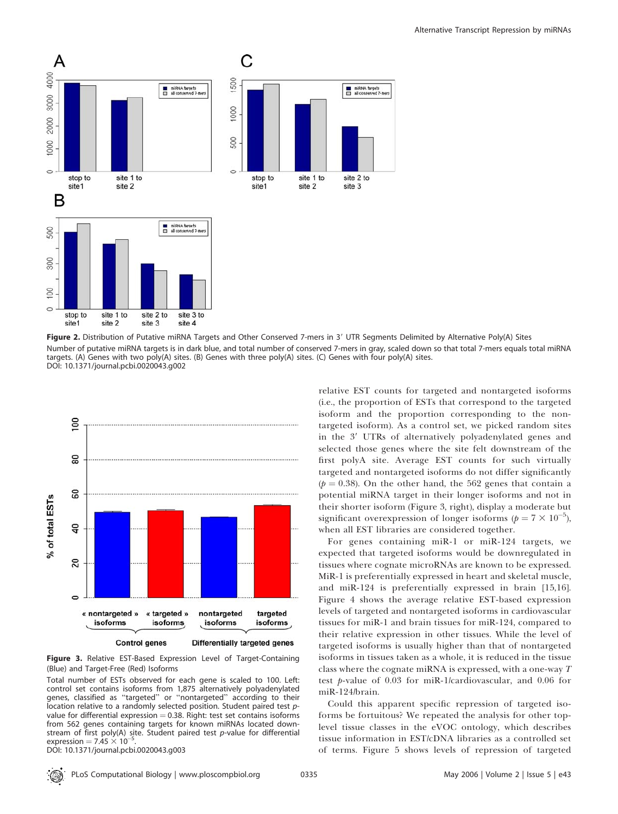

С 500  $\blacksquare$  miRNA fargets<br> $\blacksquare$  all conserved 7 000 500 ò site 2 to stop to site 1 to site1 site 2 site 3

Figure 2. Distribution of Putative miRNA Targets and Other Conserved 7-mers in 3' UTR Segments Delimited by Alternative Poly(A) Sites Number of putative miRNA targets is in dark blue, and total number of conserved 7-mers in gray, scaled down so that total 7-mers equals total miRNA targets. (A) Genes with two poly(A) sites. (B) Genes with three poly(A) sites. (C) Genes with four poly(A) sites. DOI: 10.1371/journal.pcbi.0020043.g002



Figure 3. Relative EST-Based Expression Level of Target-Containing (Blue) and Target-Free (Red) Isoforms

Total number of ESTs observed for each gene is scaled to 100. Left: control set contains isoforms from 1,875 alternatively polyadenylated genes, classified as ''targeted'' or ''nontargeted'' according to their location relative to a randomly selected position. Student paired test pvalue for differential expression  $= 0.38$ . Right: test set contains isoforms from 562 genes containing targets for known miRNAs located downstream of first poly(A) site. Student paired test  $p$ -value for differential expression =  $7.45 \times 10^{-5}$ .

DOI: 10.1371/journal.pcbi.0020043.g003

relative EST counts for targeted and nontargeted isoforms (i.e., the proportion of ESTs that correspond to the targeted isoform and the proportion corresponding to the nontargeted isoform). As a control set, we picked random sites in the 3' UTRs of alternatively polyadenylated genes and selected those genes where the site felt downstream of the first polyA site. Average EST counts for such virtually targeted and nontargeted isoforms do not differ significantly  $(p = 0.38)$ . On the other hand, the 562 genes that contain a potential miRNA target in their longer isoforms and not in their shorter isoform (Figure 3, right), display a moderate but significant overexpression of longer isoforms ( $p = 7 \times 10^{-5}$ ), when all EST libraries are considered together.

For genes containing miR-1 or miR-124 targets, we expected that targeted isoforms would be downregulated in tissues where cognate microRNAs are known to be expressed. MiR-1 is preferentially expressed in heart and skeletal muscle, and miR-124 is preferentially expressed in brain [15,16]. Figure 4 shows the average relative EST-based expression levels of targeted and nontargeted isoforms in cardiovascular tissues for miR-1 and brain tissues for miR-124, compared to their relative expression in other tissues. While the level of targeted isoforms is usually higher than that of nontargeted isoforms in tissues taken as a whole, it is reduced in the tissue class where the cognate miRNA is expressed, with a one-way T test p-value of 0.03 for miR-1/cardiovascular, and 0.06 for miR-124/brain.

Could this apparent specific repression of targeted isoforms be fortuitous? We repeated the analysis for other toplevel tissue classes in the eVOC ontology, which describes tissue information in EST/cDNA libraries as a controlled set of terms. Figure 5 shows levels of repression of targeted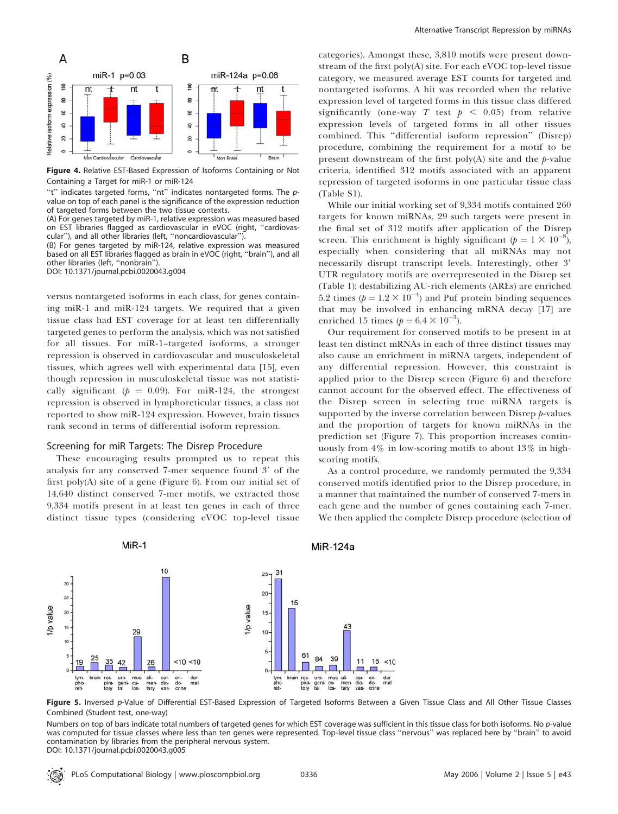

Figure 4. Relative EST-Based Expression of Isoforms Containing or Not Containing a Target for miR-1 or miR-124

"t" indicates targeted forms, "nt" indicates nontargeted forms. The  $p$ value on top of each panel is the significance of the expression reduction of targeted forms between the two tissue contexts.

(A) For genes targeted by miR-1, relative expression was measured based on EST libraries flagged as cardiovascular in eVOC (right, ''cardiovascular''), and all other libraries (left, ''noncardiovascular'').

(B) For genes targeted by miR-124, relative expression was measured based on all EST libraries flagged as brain in eVOC (right, ''brain''), and all other libraries (left, ''nonbrain'').

DOI: 10.1371/journal.pcbi.0020043.g004

versus nontargeted isoforms in each class, for genes containing miR-1 and miR-124 targets. We required that a given tissue class had EST coverage for at least ten differentially targeted genes to perform the analysis, which was not satisfied for all tissues. For miR-1–targeted isoforms, a stronger repression is observed in cardiovascular and musculoskeletal tissues, which agrees well with experimental data [15], even though repression in musculoskeletal tissue was not statistically significant ( $p = 0.09$ ). For miR-124, the strongest repression is observed in lymphoreticular tissues, a class not reported to show miR-124 expression. However, brain tissues rank second in terms of differential isoform repression.

#### Screening for miR Targets: The Disrep Procedure

MiR-1

These encouraging results prompted us to repeat this analysis for any conserved  $7$ -mer sequence found  $3'$  of the first poly(A) site of a gene (Figure 6). From our initial set of 14,640 distinct conserved 7-mer motifs, we extracted those 9,334 motifs present in at least ten genes in each of three distinct tissue types (considering eVOC top-level tissue

categories). Amongst these, 3,810 motifs were present downstream of the first poly(A) site. For each eVOC top-level tissue category, we measured average EST counts for targeted and nontargeted isoforms. A hit was recorded when the relative expression level of targeted forms in this tissue class differed significantly (one-way T test  $p < 0.05$ ) from relative expression levels of targeted forms in all other tissues combined. This ''differential isoform repression'' (Disrep) procedure, combining the requirement for a motif to be present downstream of the first poly(A) site and the  $p$ -value criteria, identified 312 motifs associated with an apparent repression of targeted isoforms in one particular tissue class (Table S1).

While our initial working set of 9,334 motifs contained 260 targets for known miRNAs, 29 such targets were present in the final set of 312 motifs after application of the Disrep screen. This enrichment is highly significant ( $p = 1 \times 10^{-8}$ ), especially when considering that all miRNAs may not necessarily disrupt transcript levels. Interestingly, other 3' UTR regulatory motifs are overrepresented in the Disrep set (Table 1): destabilizing AU-rich elements (AREs) are enriched 5.2 times ( $p = 1.2 \times 10^{-4}$ ) and Puf protein binding sequences that may be involved in enhancing mRNA decay [17] are enriched 15 times ( $p = 6.4 \times 10^{-3}$ ).

Our requirement for conserved motifs to be present in at least ten distinct mRNAs in each of three distinct tissues may also cause an enrichment in miRNA targets, independent of any differential repression. However, this constraint is applied prior to the Disrep screen (Figure 6) and therefore cannot account for the observed effect. The effectiveness of the Disrep screen in selecting true miRNA targets is supported by the inverse correlation between Disrep  $p$ -values and the proportion of targets for known miRNAs in the prediction set (Figure 7). This proportion increases continuously from 4% in low-scoring motifs to about 13% in highscoring motifs.

As a control procedure, we randomly permuted the 9,334 conserved motifs identified prior to the Disrep procedure, in a manner that maintained the number of conserved 7-mers in each gene and the number of genes containing each 7-mer. We then applied the complete Disrep procedure (selection of



MiR-124a

Figure 5. Inversed p-Value of Differential EST-Based Expression of Targeted Isoforms Between a Given Tissue Class and All Other Tissue Classes Combined (Student test, one-way)

Numbers on top of bars indicate total numbers of targeted genes for which EST coverage was sufficient in this tissue class for both isoforms. No p-value was computed for tissue classes where less than ten genes were represented. Top-level tissue class ''nervous'' was replaced here by ''brain'' to avoid contamination by libraries from the peripheral nervous system. DOI: 10.1371/journal.pcbi.0020043.g005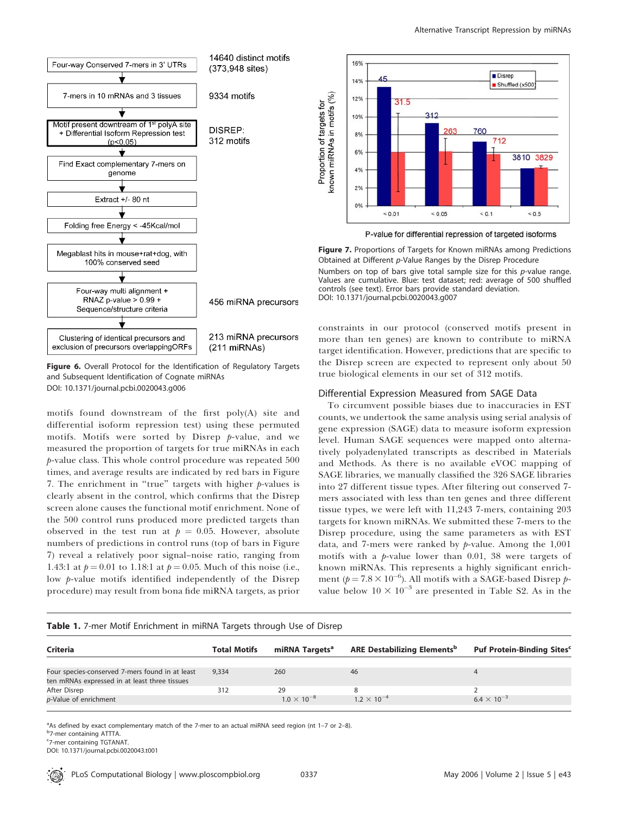

Proportion of targets for<br>known miRNAs in motifs (%)

12%

10%

 $8%$ 

6%

4%

 $2%$ 

0%

 $< 0.01$ 



Figure 6. Overall Protocol for the Identification of Regulatory Targets and Subsequent Identification of Cognate miRNAs DOI: 10.1371/journal.pcbi.0020043.g006

motifs found downstream of the first poly(A) site and differential isoform repression test) using these permuted motifs. Motifs were sorted by Disrep  $p$ -value, and we measured the proportion of targets for true miRNAs in each p-value class. This whole control procedure was repeated 500 times, and average results are indicated by red bars in Figure 7. The enrichment in "true" targets with higher  $p$ -values is clearly absent in the control, which confirms that the Disrep screen alone causes the functional motif enrichment. None of the 500 control runs produced more predicted targets than observed in the test run at  $p = 0.05$ . However, absolute numbers of predictions in control runs (top of bars in Figure 7) reveal a relatively poor signal–noise ratio, ranging from 1.43:1 at  $p = 0.01$  to 1.18:1 at  $p = 0.05$ . Much of this noise (i.e., low p-value motifs identified independently of the Disrep procedure) may result from bona fide miRNA targets, as prior



760

 $< 0.1$ 

712

3810 3829

 $0.5$ 

Figure 7. Proportions of Targets for Known miRNAs among Predictions Obtained at Different p-Value Ranges by the Disrep Procedure Numbers on top of bars give total sample size for this  $p$ -value range. Values are cumulative. Blue: test dataset; red: average of 500 shuffled controls (see text). Error bars provide standard deviation. DOI: 10.1371/journal.pcbi.0020043.g007

 $< 0.05$ 

 $312$ 

constraints in our protocol (conserved motifs present in more than ten genes) are known to contribute to miRNA target identification. However, predictions that are specific to the Disrep screen are expected to represent only about 50 true biological elements in our set of 312 motifs.

#### Differential Expression Measured from SAGE Data

To circumvent possible biases due to inaccuracies in EST counts, we undertook the same analysis using serial analysis of gene expression (SAGE) data to measure isoform expression level. Human SAGE sequences were mapped onto alternatively polyadenylated transcripts as described in Materials and Methods. As there is no available eVOC mapping of SAGE libraries, we manually classified the 326 SAGE libraries into 27 different tissue types. After filtering out conserved 7 mers associated with less than ten genes and three different tissue types, we were left with 11,243 7-mers, containing 203 targets for known miRNAs. We submitted these 7-mers to the Disrep procedure, using the same parameters as with EST data, and 7-mers were ranked by  $p$ -value. Among the 1,001 motifs with a  $p$ -value lower than 0.01, 38 were targets of known miRNAs. This represents a highly significant enrichment ( $p = 7.8 \times 10^{-6}$ ). All motifs with a SAGE-based Disrep pvalue below  $10 \times 10^{-3}$  are presented in Table S2. As in the

#### Table 1. 7-mer Motif Enrichment in miRNA Targets through Use of Disrep

| Criteria                                                                                         | <b>Total Motifs</b> | miRNA Targets <sup>a</sup> | <b>ARE Destabilizing Elements</b> <sup>b</sup> | Puf Protein-Binding Sites <sup>c</sup> |
|--------------------------------------------------------------------------------------------------|---------------------|----------------------------|------------------------------------------------|----------------------------------------|
|                                                                                                  |                     |                            |                                                |                                        |
| Four species-conserved 7-mers found in at least<br>ten mRNAs expressed in at least three tissues | 9,334               | 260                        | 46                                             |                                        |
| After Disrep                                                                                     | 312                 | 29                         |                                                |                                        |
| p-Value of enrichment                                                                            |                     | $1.0 \times 10^{-8}$       | $1.2 \times 10^{-4}$                           | $6.4 \times 10^{-3}$                   |

<sup>a</sup>As defined by exact complementary match of the 7-mer to an actual miRNA seed region (nt 1-7 or 2-8).

<sup>b</sup>7-mer containing ATTTA.

c 7-mer containing TGTANAT.

DOI: 10.1371/journal.pcbi.0020043.t001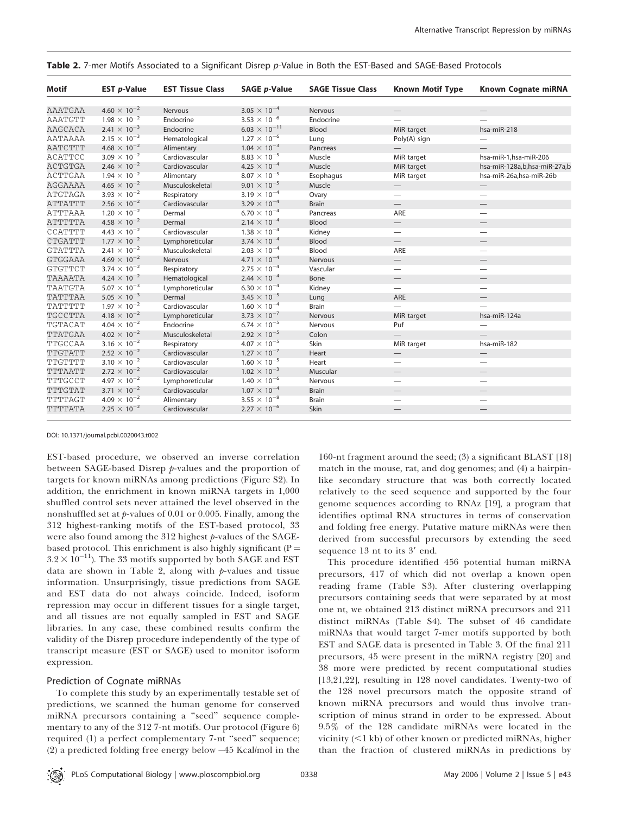| Motif          | <b>EST p-Value</b>             | <b>EST Tissue Class</b> | <b>SAGE p-Value</b>            | <b>SAGE Tissue Class</b> | <b>Known Motif Type</b>          | <b>Known Cognate miRNA</b>      |
|----------------|--------------------------------|-------------------------|--------------------------------|--------------------------|----------------------------------|---------------------------------|
|                |                                |                         |                                |                          |                                  |                                 |
| <b>AAATGAA</b> | $4.60 \times 10^{-2}$          | Nervous                 | $3.05 \times 10^{-4}$          | Nervous                  | $\qquad \qquad -$                | $\qquad \qquad -$               |
| <b>AAATGTT</b> | $1.98 \times 10^{-2}$          | Endocrine               | $3.53 \times 10^{-6}$          | Endocrine                | $\overline{\phantom{0}}$         |                                 |
| AAGCACA        | $2.41 \times 10^{-3}$          | Endocrine               | $6.03 \times 10^{-11}$         | Blood                    | MiR target                       | hsa-miR-218                     |
| AATAAAA        | $2.15 \times 10^{-3}$          | Hematological           | $1.27 \times 10^{-6}$          | Lung                     | Poly(A) sign                     |                                 |
| <b>AATCTTT</b> | $4.68 \times 10^{-2}$          | Alimentary              | $1.04 \times 10^{-3}$          | Pancreas                 | $\overline{\phantom{0}}$         |                                 |
| ACATTCC        | $3.09 \times 10^{-2}$          | Cardiovascular          | 8.83 $\times$ 10 <sup>-5</sup> | Muscle                   | MiR target                       | hsa-miR-1, hsa-miR-206          |
| <b>ACTGTGA</b> | $2.46 \times 10^{-2}$          | Cardiovascular          | 4.25 $\times$ 10 <sup>-4</sup> | Muscle                   | MiR target                       | hsa-miR-128a,b,hsa-miR-27a,b    |
| <b>ACTTGAA</b> | $1.94 \times 10^{-2}$          | Alimentary              | $8.07 \times 10^{-5}$          | Esophagus                | MiR target                       | hsa-miR-26a,hsa-miR-26b         |
| <b>AGGAAAA</b> | $4.65 \times 10^{-2}$          | Musculoskeletal         | $9.01 \times 10^{-5}$          | Muscle                   | $\qquad \qquad -$                | $\qquad \qquad -$               |
| <b>ATGTAGA</b> | $3.93 \times 10^{-2}$          | Respiratory             | $3.19 \times 10^{-4}$          | Ovary                    | $\overbrace{\phantom{1232211}}$  | $\overbrace{\phantom{1232211}}$ |
| <b>ATTATTT</b> | $2.56 \times 10^{-2}$          | Cardiovascular          | $3.29 \times 10^{-4}$          | <b>Brain</b>             | $\qquad \qquad -$                |                                 |
| <b>ATTTAAA</b> | $1.20 \times 10^{-2}$          | Dermal                  | $6.70 \times 10^{-4}$          | Pancreas                 | ARE                              |                                 |
| <b>ATTTTTA</b> | $4.58 \times 10^{-2}$          | Dermal                  | $2.14 \times 10^{-4}$          | Blood                    | $\overline{\phantom{0}}$         | $\overline{\phantom{0}}$        |
| <b>CCATTTT</b> | $4.43 \times 10^{-2}$          | Cardiovascular          | $1.38 \times 10^{-4}$          | Kidney                   | $\qquad \qquad$                  | $\overline{\phantom{0}}$        |
| <b>CTGATTT</b> | $1.77 \times 10^{-2}$          | Lymphoreticular         | $3.74 \times 10^{-4}$          | Blood                    | $\qquad \qquad -$                |                                 |
| <b>GTATTTA</b> | $2.41 \times 10^{-2}$          | Musculoskeletal         | $2.03 \times 10^{-4}$          | Blood                    | ARE                              |                                 |
| <b>GTGGAAA</b> | $4.69 \times 10^{-2}$          | Nervous                 | 4.71 $\times$ 10 <sup>-4</sup> | Nervous                  | $\overline{\phantom{m}}$         |                                 |
| <b>GTGTTCT</b> | $3.74 \times 10^{-2}$          | Respiratory             | $2.75 \times 10^{-4}$          | Vascular                 | $\overline{\phantom{0}}$         | $\overline{\phantom{0}}$        |
| TAAAATA        | 4.24 $\times$ 10 <sup>-2</sup> | Hematological           | $2.44 \times 10^{-4}$          | Bone                     | $\overline{\phantom{m}}$         | $\qquad \qquad -$               |
| TAATGTA        | $5.07 \times 10^{-3}$          | Lymphoreticular         | $6.30 \times 10^{-4}$          | Kidney                   | $\overline{\phantom{0}}$         | $\overline{\phantom{0}}$        |
| TATTTAA        | $5.05 \times 10^{-3}$          | Dermal                  | 3.45 $\times$ 10 <sup>-5</sup> | Lung                     | ARE                              |                                 |
| TATTTTT        | $1.97 \times 10^{-2}$          | Cardiovascular          | $1.60 \times 10^{-4}$          | <b>Brain</b>             | $\overline{\phantom{0}}$         |                                 |
| TGCCTTA        | $4.18 \times 10^{-2}$          | Lymphoreticular         | $3.73 \times 10^{-7}$          | <b>Nervous</b>           | MiR target                       | hsa-miR-124a                    |
| TGTACAT        | $4.04 \times 10^{-2}$          | Endocrine               | $6.74 \times 10^{-5}$          | <b>Nervous</b>           | Puf                              | $\overline{\phantom{0}}$        |
| TTATGAA        | $4.02 \times 10^{-2}$          | Musculoskeletal         | $2.92 \times 10^{-5}$          | Colon                    |                                  | $-$                             |
| TTGCCAA        | $3.16 \times 10^{-2}$          | Respiratory             | $4.07 \times 10^{-5}$          | Skin                     | MiR target                       | hsa-miR-182                     |
| TTGTATT        | $2.52 \times 10^{-2}$          | Cardiovascular          | $1.27 \times 10^{-7}$          | Heart                    | $\qquad \qquad -$                | $\overline{\phantom{0}}$        |
| TTGTTTT        | $3.10 \times 10^{-2}$          | Cardiovascular          | $1.60 \times 10^{-5}$          | Heart                    |                                  |                                 |
| TTTAATT        | $2.72 \times 10^{-2}$          | Cardiovascular          | $1.02 \times 10^{-3}$          | Muscular                 |                                  |                                 |
| TTTGCCT        | $4.97 \times 10^{-2}$          | Lymphoreticular         | $1.40 \times 10^{-6}$          | Nervous                  | $\overbrace{\phantom{123321}}$   |                                 |
| <b>TTTGTAT</b> | $3.71 \times 10^{-2}$          | Cardiovascular          | $1.07 \times 10^{-4}$          | <b>Brain</b>             |                                  |                                 |
| TTTTAGT        | $4.09 \times 10^{-2}$          | Alimentary              | $3.55 \times 10^{-8}$          | <b>Brain</b>             | $\overbrace{\phantom{12322111}}$ |                                 |
| TTTTATA        | $2.25 \times 10^{-2}$          | Cardiovascular          | $2.27 \times 10^{-6}$          | Skin                     | $\overline{\phantom{0}}$         | $\overline{\phantom{0}}$        |
|                |                                |                         |                                |                          |                                  |                                 |

| Table 2. 7-mer Motifs Associated to a Significant Disrep p-Value in Both the EST-Based and SAGE-Based Protocols |
|-----------------------------------------------------------------------------------------------------------------|
|-----------------------------------------------------------------------------------------------------------------|

DOI: 10.1371/journal.pcbi.0020043.t002

EST-based procedure, we observed an inverse correlation between SAGE-based Disrep p-values and the proportion of targets for known miRNAs among predictions (Figure S2). In addition, the enrichment in known miRNA targets in 1,000 shuffled control sets never attained the level observed in the nonshuffled set at  $p$ -values of 0.01 or 0.005. Finally, among the 312 highest-ranking motifs of the EST-based protocol, 33 were also found among the  $312$  highest  $p$ -values of the SAGEbased protocol. This enrichment is also highly significant ( $P =$  $3.2 \times 10^{-11}$ ). The 33 motifs supported by both SAGE and EST data are shown in Table 2, along with  $p$ -values and tissue information. Unsurprisingly, tissue predictions from SAGE and EST data do not always coincide. Indeed, isoform repression may occur in different tissues for a single target, and all tissues are not equally sampled in EST and SAGE libraries. In any case, these combined results confirm the validity of the Disrep procedure independently of the type of transcript measure (EST or SAGE) used to monitor isoform expression.

#### Prediction of Cognate miRNAs

To complete this study by an experimentally testable set of predictions, we scanned the human genome for conserved miRNA precursors containing a ''seed'' sequence complementary to any of the 312 7-nt motifs. Our protocol (Figure 6) required (1) a perfect complementary 7-nt ''seed'' sequence; (2) a predicted folding free energy below 45 Kcal/mol in the

160-nt fragment around the seed; (3) a significant BLAST [18] match in the mouse, rat, and dog genomes; and (4) a hairpinlike secondary structure that was both correctly located relatively to the seed sequence and supported by the four genome sequences according to RNAz [19], a program that identifies optimal RNA structures in terms of conservation and folding free energy. Putative mature miRNAs were then derived from successful precursors by extending the seed sequence  $13$  nt to its  $3'$  end.

This procedure identified 456 potential human miRNA precursors, 417 of which did not overlap a known open reading frame (Table S3). After clustering overlapping precursors containing seeds that were separated by at most one nt, we obtained 213 distinct miRNA precursors and 211 distinct miRNAs (Table S4). The subset of 46 candidate miRNAs that would target 7-mer motifs supported by both EST and SAGE data is presented in Table 3. Of the final 211 precursors, 45 were present in the miRNA registry [20] and 38 more were predicted by recent computational studies [13,21,22], resulting in 128 novel candidates. Twenty-two of the 128 novel precursors match the opposite strand of known miRNA precursors and would thus involve transcription of minus strand in order to be expressed. About 9.5% of the 128 candidate miRNAs were located in the vicinity  $(<1$  kb) of other known or predicted miRNAs, higher than the fraction of clustered miRNAs in predictions by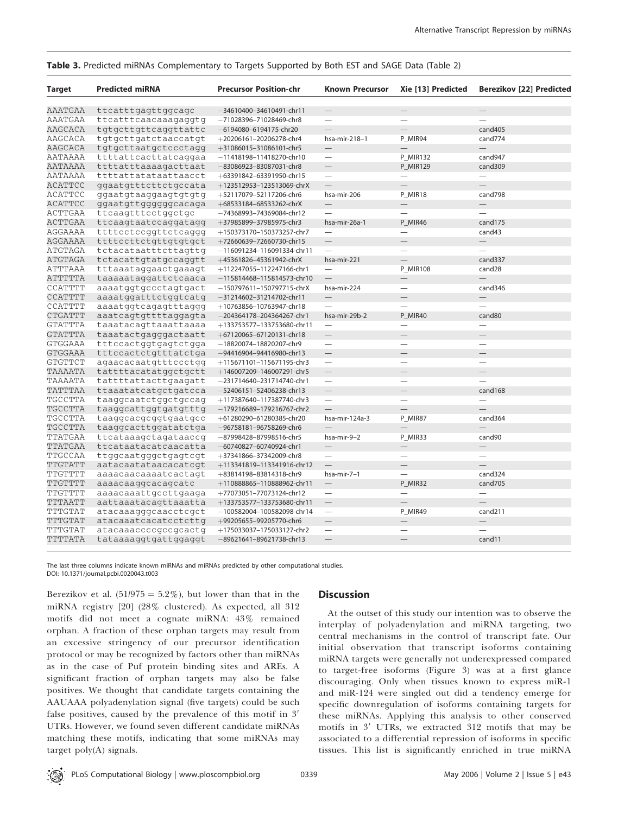#### Table 3. Predicted miRNAs Complementary to Targets Supported by Both EST and SAGE Data (Table 2)

| <b>Target</b>  | <b>Predicted miRNA</b> | <b>Precursor Position-chr</b>   | <b>Known Precursor</b>           | Xie [13] Predicted       | <b>Berezikov [22] Predicted</b> |
|----------------|------------------------|---------------------------------|----------------------------------|--------------------------|---------------------------------|
| AAATGAA        | ttcatttgagttggcagc     | $-34610400 - 34610491 - chr11$  | $\overline{\phantom{m}}$         |                          | $\qquad \qquad -$               |
| AAATGAA        | ttcatttcaacaaaqaqqtq   | -71028396-71028469-chr8         | $\overline{\phantom{0}}$         |                          |                                 |
| AAGCACA        | tgtgcttgttcaggttattc   | -6194080-6194175-chr20          | $-$                              | $\equiv$                 | cand405                         |
| AAGCACA        | tgtgcttgatctaaccatgt   | +20206161-20206278-chr4         | hsa-mir-218-1                    | P_MIR94                  | cand774                         |
| AAGCACA        | tgtgcttaatgctccctagg   | +31086015-31086101-chr5         | $\overline{\phantom{0}}$         |                          |                                 |
| AATAAAA        | ttttattcacttatcaqqaa   | $-11418198 - 11418270$ -chr10   | $\overbrace{\phantom{1232211}}$  | <b>P_MIR132</b>          | cand947                         |
| <b>AATAAAA</b> | ttttatttaaaaqacttaat   | $-83086923 - 83087031 - chr8$   | ۲                                | <b>P MIR129</b>          | cand309                         |
| <b>AATAAAA</b> | ttttattatataattaacct   | +63391842-63391950-chr15        | $\overbrace{\phantom{1232211}}$  | $\overline{\phantom{0}}$ |                                 |
| <b>ACATTCC</b> | ggaatgtttcttctgccata   | +123512953-123513069-chrX       |                                  |                          |                                 |
| ACATTCC        | ggaatgtaaggaagtgtgtg   | +52117079-52117206-chr6         | hsa-mir-206                      | P_MIR18                  | cand798                         |
| ACATTCC        | ggaatgttggggggcacaga   | +68533184-68533262-chrX         |                                  |                          |                                 |
| <b>ACTTGAA</b> | ttcaagtttcctggctgc     | -74368993-74369084-chr12        | $\overline{\phantom{0}}$         | $\overline{\phantom{0}}$ |                                 |
| <b>ACTTGAA</b> | ttcaagtaatccaggatagg   | +37985899-37985975-chr3         | hsa-mir-26a-1                    | P MIR46                  | cand175                         |
| AGGAAAA        | ttttcctccqqttctcaqqq   | +150373170-150373257-chr7       |                                  | $\overline{\phantom{0}}$ | cand43                          |
| AGGAAAA        |                        |                                 |                                  |                          |                                 |
|                | ttttccttctgttgtgtgct   | +72660639-72660730-chr15        | $\overline{\phantom{0}}$         | $\overline{\phantom{0}}$ |                                 |
| ATGTAGA        | tctacataatttcttagttg   | $-116091234 - 116091334$ -chr11 |                                  | $\overline{\phantom{0}}$ | $\overline{\phantom{0}}$        |
| <b>ATGTAGA</b> | tctacattgtatgccaggtt   | +45361826-45361942-chrX         | hsa-mir-221                      |                          | cand337                         |
| ATTTAAA        | tttaaataqqaactqaaaqt   | +112247055-112247166-chr1       | $\equiv$                         | <b>P MIR108</b>          | cand <sub>28</sub>              |
| <b>ATTTTTA</b> | taaaaataqqattctcaaca   | $-115814468 - 115814573$ -chr10 |                                  | $\overline{\phantom{m}}$ | $\overline{\phantom{0}}$        |
| CCATTTT        | aaaatggtgccctagtgact   | $-150797611 - 150797715 - chrX$ | hsa-mir-224                      | $\overline{\phantom{0}}$ | cand346                         |
| CCATTTT        | aaaatggatttctggtcatg   | $-31214602 - 31214702$ -chr11   | $\overline{\phantom{0}}$         |                          |                                 |
| CCATTTT        | aaaatggtcagagtttaggg   | $+10763856 - 10763947$ -chr18   | $\overline{\phantom{0}}$         |                          |                                 |
| <b>CTGATTT</b> | aaatcagtgttttaggagta   | $-204364178 - 204364267$ -chr1  | hsa-mir-29b-2                    | P MIR40                  | cand <sub>80</sub>              |
| <b>GTATTTA</b> | taaatacagttaaattaaaa   | +133753577-133753680-chr11      | $\overline{\phantom{0}}$         |                          |                                 |
| <b>GTATTTA</b> | taaatactgagggactaatt   | +67120065-67120131-chr18        |                                  | $\overline{\phantom{0}}$ |                                 |
| <b>GTGGAAA</b> | tttccactggtgagtctgga   | $-18820074 - 18820207$ -chr9    |                                  | $\overline{\phantom{0}}$ | $\overline{\phantom{0}}$        |
| <b>GTGGAAA</b> | tttccactctqtttatctqa   | -94416904-94416980-chr13        |                                  | $\qquad \qquad -$        |                                 |
| <b>GTGTTCT</b> | agaacacaatgtttccctgg   | +115671101-115671195-chr3       | $\overline{\phantom{m}}$         | $\overline{\phantom{0}}$ | $\overline{\phantom{0}}$        |
| TAAAATA        | tattttacatatggctgctt   | +146007209-146007291-chr5       | $\overline{\phantom{m}}$         | $\overline{\phantom{0}}$ | $\overline{\phantom{m}}$        |
| TAAAATA        | tattttattacttgaagatt   | $-231714640 - 231714740$ -chr1  | $\overline{\phantom{0}}$         | $\overline{\phantom{0}}$ |                                 |
| TATTTAA        | ttaaatatcatgctgatcca   | $-52406151 - 52406238$ -chr13   | $\overline{\phantom{m}}$         | $\qquad \qquad -$        | cand168                         |
| TGCCTTA        | taaqqcaatctqqctqccaq   | +117387640-117387740-chr3       | $\overline{\phantom{m}}$         |                          | $\overline{\phantom{0}}$        |
| TGCCTTA        | taaqqcattqqtqatqtttq   | $-179216689 - 179216767 - chr2$ | $\overline{\phantom{0}}$         |                          |                                 |
| TGCCTTA        | taaqqcacqcqqtqaatqcc   | +61280290-61280385-chr20        | hsa-mir-124a-3                   | P MIR87                  | cand364                         |
| TGCCTTA        | taaqqcacttqqatatctqa   | -96758181-96758269-chr6         |                                  |                          | $\qquad \qquad -$               |
| TTATGAA        | ttcataaagctagataaccg   | -87998428-87998516-chr5         | hsa-mir-9-2                      | P MIR33                  | cand90                          |
| TTATGAA        | ttcataatacatcaacatta   | -60740827-60740924-chr1         | $\overline{\phantom{0}}$         | $\overline{\phantom{0}}$ | $\overline{\phantom{0}}$        |
| TTGCCAA        | ttggcaatgggctgagtcgt   | +37341866-37342009-chr8         | $\overline{\phantom{0}}$         | $\overline{\phantom{0}}$ |                                 |
| TTGTATT        | aatacaatataacacatcqt   | +113341819-113341916-chr12      |                                  | $\overline{\phantom{0}}$ |                                 |
| TTGTTTT        | aaaacaacaaaatcactaqt   | +83814198-83814318-chr9         | hsa-mir-7-1                      |                          | cand324                         |
| TTGTTTT        | aaaacaaqqcacaqcatc     | +110888865-110888962-chr11      | $\overline{\phantom{0}}$         | P MIR32                  | cand705                         |
| TTGTTTT        | aaaacaaattgccttgaaga   | +77073051-77073124-chr12        |                                  |                          |                                 |
| TTTAATT        | aattaaatacaqttaaatta   | +133753577-133753680-chr11      | $\overline{\phantom{0}}$         | $\qquad \qquad -$        |                                 |
| TTTGTAT        | atacaaaqqqcaacctcqct   | $-100582004 - 100582098$ -chr14 | $\overbrace{\phantom{12322111}}$ | P_MIR49                  | cand211                         |
| TTTGTAT        | atacaaatcacatcctcttq   | +99205655-99205770-chr6         |                                  | $\qquad \qquad -$        | $\overline{\phantom{0}}$        |
| TTTGTAT        | atacaaaccccqccqcactq   | +175033037-175033127-chr2       |                                  |                          |                                 |
| TTTTATA        | tataaaaqqtqattqqaqqt   | -89621641-89621738-chr13        |                                  |                          | cand11                          |
|                |                        |                                 |                                  |                          |                                 |

The last three columns indicate known miRNAs and miRNAs predicted by other computational studies. DOI: 10.1371/journal.pcbi.0020043.t003

Berezikov et al.  $(51/975 = 5.2\%)$ , but lower than that in the miRNA registry [20] (28% clustered). As expected, all 312 motifs did not meet a cognate miRNA: 43% remained orphan. A fraction of these orphan targets may result from an excessive stringency of our precursor identification protocol or may be recognized by factors other than miRNAs as in the case of Puf protein binding sites and AREs. A significant fraction of orphan targets may also be false positives. We thought that candidate targets containing the AAUAAA polyadenylation signal (five targets) could be such false positives, caused by the prevalence of this motif in 3' UTRs. However, we found seven different candidate miRNAs matching these motifs, indicating that some miRNAs may target poly(A) signals.

# **Discussion**

At the outset of this study our intention was to observe the interplay of polyadenylation and miRNA targeting, two central mechanisms in the control of transcript fate. Our initial observation that transcript isoforms containing miRNA targets were generally not underexpressed compared to target-free isoforms (Figure 3) was at a first glance discouraging. Only when tissues known to express miR-1 and miR-124 were singled out did a tendency emerge for specific downregulation of isoforms containing targets for these miRNAs. Applying this analysis to other conserved motifs in  $3'$  UTRs, we extracted  $312$  motifs that may be associated to a differential repression of isoforms in specific tissues. This list is significantly enriched in true miRNA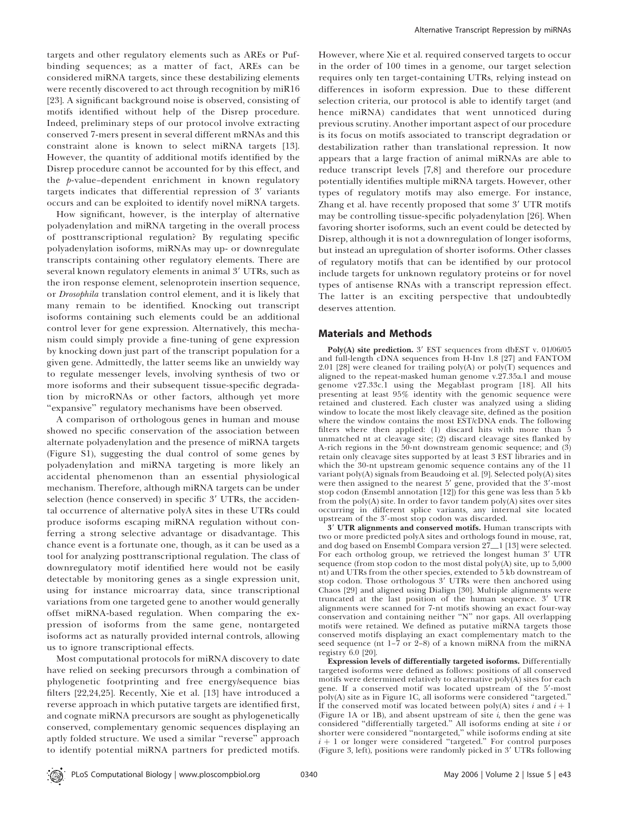targets and other regulatory elements such as AREs or Pufbinding sequences; as a matter of fact, AREs can be considered miRNA targets, since these destabilizing elements were recently discovered to act through recognition by miR16 [23]. A significant background noise is observed, consisting of motifs identified without help of the Disrep procedure. Indeed, preliminary steps of our protocol involve extracting conserved 7-mers present in several different mRNAs and this constraint alone is known to select miRNA targets [13]. However, the quantity of additional motifs identified by the Disrep procedure cannot be accounted for by this effect, and the p-value–dependent enrichment in known regulatory targets indicates that differential repression of 3' variants occurs and can be exploited to identify novel miRNA targets.

How significant, however, is the interplay of alternative polyadenylation and miRNA targeting in the overall process of posttranscriptional regulation? By regulating specific polyadenylation isoforms, miRNAs may up- or downregulate transcripts containing other regulatory elements. There are several known regulatory elements in animal 3' UTRs, such as the iron response element, selenoprotein insertion sequence, or Drosophila translation control element, and it is likely that many remain to be identified. Knocking out transcript isoforms containing such elements could be an additional control lever for gene expression. Alternatively, this mechanism could simply provide a fine-tuning of gene expression by knocking down just part of the transcript population for a given gene. Admittedly, the latter seems like an unwieldy way to regulate messenger levels, involving synthesis of two or more isoforms and their subsequent tissue-specific degradation by microRNAs or other factors, although yet more "expansive" regulatory mechanisms have been observed.

A comparison of orthologous genes in human and mouse showed no specific conservation of the association between alternate polyadenylation and the presence of miRNA targets (Figure S1), suggesting the dual control of some genes by polyadenylation and miRNA targeting is more likely an accidental phenomenon than an essential physiological mechanism. Therefore, although miRNA targets can be under selection (hence conserved) in specific 3' UTRs, the accidental occurrence of alternative polyA sites in these UTRs could produce isoforms escaping miRNA regulation without conferring a strong selective advantage or disadvantage. This chance event is a fortunate one, though, as it can be used as a tool for analyzing posttranscriptional regulation. The class of downregulatory motif identified here would not be easily detectable by monitoring genes as a single expression unit, using for instance microarray data, since transcriptional variations from one targeted gene to another would generally offset miRNA-based regulation. When comparing the expression of isoforms from the same gene, nontargeted isoforms act as naturally provided internal controls, allowing us to ignore transcriptional effects.

Most computational protocols for miRNA discovery to date have relied on seeking precursors through a combination of phylogenetic footprinting and free energy/sequence bias filters [22,24,25]. Recently, Xie et al. [13] have introduced a reverse approach in which putative targets are identified first, and cognate miRNA precursors are sought as phylogenetically conserved, complementary genomic sequences displaying an aptly folded structure. We used a similar ''reverse'' approach to identify potential miRNA partners for predicted motifs.

However, where Xie et al. required conserved targets to occur in the order of 100 times in a genome, our target selection requires only ten target-containing UTRs, relying instead on differences in isoform expression. Due to these different selection criteria, our protocol is able to identify target (and hence miRNA) candidates that went unnoticed during previous scrutiny. Another important aspect of our procedure is its focus on motifs associated to transcript degradation or destabilization rather than translational repression. It now appears that a large fraction of animal miRNAs are able to reduce transcript levels [7,8] and therefore our procedure potentially identifies multiple miRNA targets. However, other types of regulatory motifs may also emerge. For instance, Zhang et al. have recently proposed that some 3' UTR motifs may be controlling tissue-specific polyadenylation [26]. When favoring shorter isoforms, such an event could be detected by Disrep, although it is not a downregulation of longer isoforms, but instead an upregulation of shorter isoforms. Other classes of regulatory motifs that can be identified by our protocol include targets for unknown regulatory proteins or for novel types of antisense RNAs with a transcript repression effect. The latter is an exciting perspective that undoubtedly deserves attention.

#### Materials and Methods

Poly(A) site prediction.  $3'$  EST sequences from dbEST v. 01/06/05 and full-length cDNA sequences from H-Inv 1.8 [27] and FANTOM  $2.01$  [28] were cleaned for trailing poly(A) or poly(T) sequences and aligned to the repeat-masked human genome v.27.35a.1 and mouse genome v27.33c.1 using the Megablast program [18]. All hits presenting at least 95% identity with the genomic sequence were retained and clustered. Each cluster was analyzed using a sliding window to locate the most likely cleavage site, defined as the position where the window contains the most EST/cDNA ends. The following filters where then applied: (1) discard hits with more than 5 unmatched nt at cleavage site; (2) discard cleavage sites flanked by A-rich regions in the 50-nt downstream genomic sequence; and  $(3)$ retain only cleavage sites supported by at least 3 EST libraries and in which the 30-nt upstream genomic sequence contains any of the 11 variant poly(A) signals from Beaudoing et al. [9]. Selected poly(A) sites were then assigned to the nearest 5' gene, provided that the 3'-most stop codon (Ensembl annotation [12]) for this gene was less than 5 kb from the poly(A) site. In order to favor tandem poly(A) sites over sites occurring in different splice variants, any internal site located upstream of the 3'-most stop codon was discarded.

3' UTR alignments and conserved motifs. Human transcripts with two or more predicted polyA sites and orthologs found in mouse, rat, and dog based on Ensembl Compara version  $27\_1$  [13] were selected. For each ortholog group, we retrieved the longest human 3' UTR sequence (from stop codon to the most distal poly(A) site, up to 5,000 nt) and UTRs from the other species, extended to 5 kb downstream of stop codon. Those orthologous 3' UTRs were then anchored using Chaos [29] and aligned using Dialign [30]. Multiple alignments were truncated at the last position of the human sequence. 3' UTR alignments were scanned for 7-nt motifs showing an exact four-way conservation and containing neither ''N'' nor gaps. All overlapping motifs were retained. We defined as putative miRNA targets those conserved motifs displaying an exact complementary match to the seed sequence (nt 1–7 or 2–8) of a known miRNA from the miRNA registry 6.0 [20].

Expression levels of differentially targeted isoforms. Differentially targeted isoforms were defined as follows: positions of all conserved motifs were determined relatively to alternative poly(A) sites for each gene. If a conserved motif was located upstream of the 5'-most poly(A) site as in Figure 1C, all isoforms were considered ''targeted.'' If the conserved motif was located between poly(A) sites i and  $i + 1$ (Figure 1A or 1B), and absent upstream of site  $i$ , then the gene was considered "differentially targeted." All isoforms ending at site i or shorter were considered ''nontargeted,'' while isoforms ending at site  $i + 1$  or longer were considered "targeted." For control purposes (Figure 3, left), positions were randomly picked in 3' UTRs following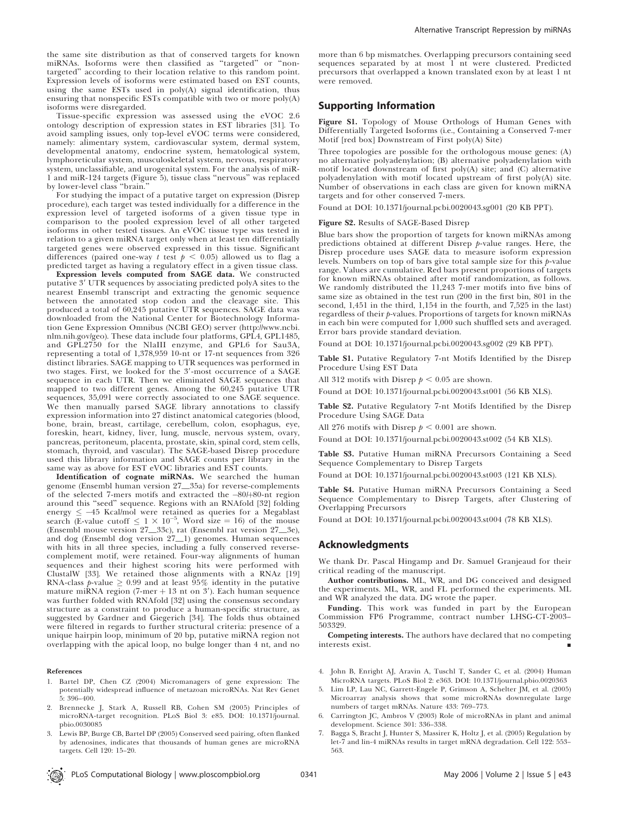the same site distribution as that of conserved targets for known miRNAs. Isoforms were then classified as ''targeted'' or ''nontargeted'' according to their location relative to this random point. Expression levels of isoforms were estimated based on EST counts, using the same ESTs used in poly(A) signal identification, thus ensuring that nonspecific ESTs compatible with two or more poly(A) isoforms were disregarded.

Tissue-specific expression was assessed using the eVOC 2.6 ontology description of expression states in EST libraries [31]. To avoid sampling issues, only top-level eVOC terms were considered, namely: alimentary system, cardiovascular system, dermal system, developmental anatomy, endocrine system, hematological system, lymphoreticular system, musculoskeletal system, nervous, respiratory system, unclassifiable, and urogenital system. For the analysis of miR-1 and miR-124 targets (Figure 5), tissue class ''nervous'' was replaced by lower-level class ''brain.''

For studying the impact of a putative target on expression (Disrep procedure), each target was tested individually for a difference in the expression level of targeted isoforms of a given tissue type in comparison to the pooled expression level of all other targeted isoforms in other tested tissues. An eVOC tissue type was tested in relation to a given miRNA target only when at least ten differentially targeted genes were observed expressed in this tissue. Significant differences (paired one-way t test  $p < 0.05$ ) allowed us to flag a predicted target as having a regulatory effect in a given tissue class.

Expression levels computed from SAGE data. We constructed putative 3' UTR sequences by associating predicted polyA sites to the nearest Ensembl transcript and extracting the genomic sequence between the annotated stop codon and the cleavage site. This produced a total of 60,245 putative UTR sequences. SAGE data was downloaded from the National Center for Biotechnology Information Gene Expression Omnibus (NCBI GEO) server (http://www.ncbi. nlm.nih.gov/geo). These data include four platforms, GPL4, GPL1485, and GPL2750 for the NlaIII enzyme, and GPL6 for Sau3A, representing a total of 1,378,959 10-nt or 17-nt sequences from 326 distinct libraries. SAGE mapping to UTR sequences was performed in two stages. First, we looked for the 3'-most occurrence of a SAGE sequence in each UTR. Then we eliminated SAGE sequences that mapped to two different genes. Among the 60,245 putative UTR sequences, 35,091 were correctly associated to one SAGE sequence. We then manually parsed SAGE library annotations to classify expression information into 27 distinct anatomical categories (blood, bone, brain, breast, cartilage, cerebellum, colon, esophagus, eye, foreskin, heart, kidney, liver, lung, muscle, nervous system, ovary, pancreas, peritoneum, placenta, prostate, skin, spinal cord, stem cells, stomach, thyroid, and vascular). The SAGE-based Disrep procedure used this library information and SAGE counts per library in the same way as above for EST eVOC libraries and EST counts.

Identification of cognate miRNAs. We searched the human genome (Ensembl human version 27\_35a) for reverse-complements of the selected 7-mers motifs and extracted the  $-80/+80$ -nt region around this ''seed'' sequence. Regions with an RNAfold [32] folding energy  $\leq -45$  Kcal/mol were retained as queries for a Megablast search (E-value cutoff  $\leq 1 \times 10^{-5}$ , Word size = 16) of the mouse (Ensembl mouse version 27\_33c), rat (Ensembl rat version 27\_3e), and dog (Ensembl dog version 27\_1) genomes. Human sequences with hits in all three species, including a fully conserved reversecomplement motif, were retained. Four-way alignments of human sequences and their highest scoring hits were performed with ClustalW [33]. We retained those alignments with a RNAz [19] RNA-class p-value  $\geq 0.99$  and at least  $95\%$  identity in the putative mature miRNA region (7-mer  $+13$  nt on 3'). Each human sequence was further folded with RNAfold [32] using the consensus secondary structure as a constraint to produce a human-specific structure, as suggested by Gardner and Giegerich [34]. The folds thus obtained were filtered in regards to further structural criteria: presence of a unique hairpin loop, minimum of 20 bp, putative miRNA region not overlapping with the apical loop, no bulge longer than 4 nt, and no

#### References

- 1. Bartel DP, Chen CZ (2004) Micromanagers of gene expression: The potentially widespread influence of metazoan microRNAs. Nat Rev Genet 5: 396–400.
- 2. Brennecke J, Stark A, Russell RB, Cohen SM (2005) Principles of microRNA-target recognition. PLoS Biol 3: e85. DOI: 10.1371/journal. pbio.0030085
- 3. Lewis BP, Burge CB, Bartel DP (2005) Conserved seed pairing, often flanked by adenosines, indicates that thousands of human genes are microRNA targets. Cell 120: 15–20.

more than 6 bp mismatches. Overlapping precursors containing seed sequences separated by at most 1 nt were clustered. Predicted precursors that overlapped a known translated exon by at least 1 nt were removed.

#### Supporting Information

Figure S1. Topology of Mouse Orthologs of Human Genes with Differentially Targeted Isoforms (i.e., Containing a Conserved 7-mer Motif [red box] Downstream of First poly(A) Site)

Three topologies are possible for the orthologous mouse genes: (A) no alternative polyadenylation; (B) alternative polyadenylation with motif located downstream of first poly(A) site; and (C) alternative polyadenylation with motif located upstream of first poly(A) site. Number of observations in each class are given for known miRNA targets and for other conserved 7-mers.

Found at DOI: 10.1371/journal.pcbi.0020043.sg001 (20 KB PPT).

#### Figure S2. Results of SAGE-Based Disrep

Blue bars show the proportion of targets for known miRNAs among predictions obtained at different Disrep  $p$ -value ranges. Here, the Disrep procedure uses SAGE data to measure isoform expression levels. Numbers on top of bars give total sample size for this  $p$ -value range. Values are cumulative. Red bars present proportions of targets for known miRNAs obtained after motif randomization, as follows. We randomly distributed the 11,243 7-mer motifs into five bins of same size as obtained in the test run (200 in the first bin, 801 in the second, 1,451 in the third, 1,154 in the fourth, and 7,525 in the last) regardless of their p-values. Proportions of targets for known miRNAs in each bin were computed for 1,000 such shuffled sets and averaged. Error bars provide standard deviation.

Found at DOI: 10.1371/journal.pcbi.0020043.sg002 (29 KB PPT).

Table S1. Putative Regulatory 7-nt Motifs Identified by the Disrep Procedure Using EST Data

All 312 motifs with Disrep  $p < 0.05$  are shown.

Found at DOI: 10.1371/journal.pcbi.0020043.st001 (56 KB XLS).

Table S2. Putative Regulatory 7-nt Motifs Identified by the Disrep Procedure Using SAGE Data

All 276 motifs with Disrep  $p < 0.001$  are shown.

Found at DOI: 10.1371/journal.pcbi.0020043.st002 (54 KB XLS).

Table S3. Putative Human miRNA Precursors Containing a Seed Sequence Complementary to Disrep Targets

Found at DOI: 10.1371/journal.pcbi.0020043.st003 (121 KB XLS).

Table S4. Putative Human miRNA Precursors Containing a Seed Sequence Complementary to Disrep Targets, after Clustering of Overlapping Precursors

Found at DOI: 10.1371/journal.pcbi.0020043.st004 (78 KB XLS).

#### Acknowledgments

We thank Dr. Pascal Hingamp and Dr. Samuel Granjeaud for their critical reading of the manuscript.

Author contributions. ML, WR, and DG conceived and designed the experiments. ML, WR, and FL performed the experiments. ML and WR analyzed the data. DG wrote the paper.

Funding. This work was funded in part by the European Commission FP6 Programme, contract number LHSG-CT-2003– 503329.

Competing interests. The authors have declared that no competing interests exist. *&*

- 4. John B, Enright AJ, Aravin A, Tuschl T, Sander C, et al. (2004) Human MicroRNA targets. PLoS Biol 2: e363. DOI: 10.1371/journal.pbio.0020363
- 5. Lim LP, Lau NC, Garrett-Engele P, Grimson A, Schelter JM, et al. (2005) Microarray analysis shows that some microRNAs downregulate large numbers of target mRNAs. Nature 433: 769–773.
- 6. Carrington JC, Ambros V (2003) Role of microRNAs in plant and animal development. Science 301: 336–338.
- 7. Bagga S, Bracht J, Hunter S, Massirer K, Holtz J, et al. (2005) Regulation by let-7 and lin-4 miRNAs results in target mRNA degradation. Cell 122: 553– 563.